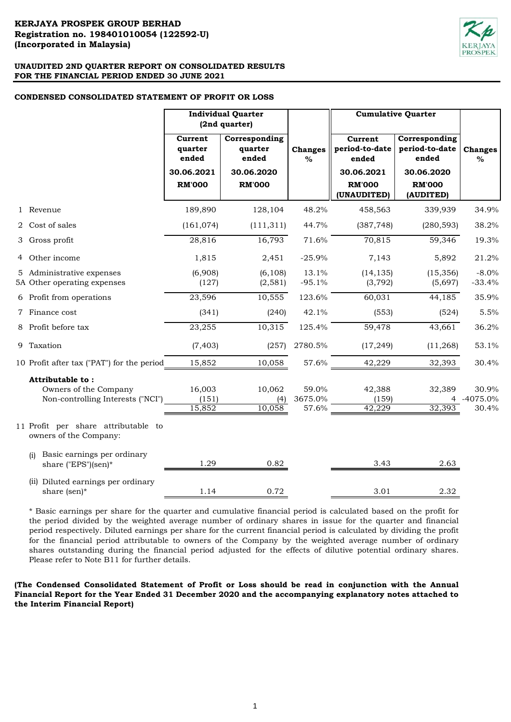

#### **CONDENSED CONSOLIDATED STATEMENT OF PROFIT OR LOSS**

|                                                                                | <b>Individual Quarter</b><br>(2nd quarter)                 |                                                                  |                           |                                                                                  |                                                                                      |                              | <b>Cumulative Quarter</b> |  |
|--------------------------------------------------------------------------------|------------------------------------------------------------|------------------------------------------------------------------|---------------------------|----------------------------------------------------------------------------------|--------------------------------------------------------------------------------------|------------------------------|---------------------------|--|
|                                                                                | Current<br>quarter<br>ended<br>30.06.2021<br><b>RM'000</b> | Corresponding<br>quarter<br>ended<br>30.06.2020<br><b>RM'000</b> | <b>Changes</b><br>$\%$    | Current<br>period-to-date<br>ended<br>30.06.2021<br><b>RM'000</b><br>(UNAUDITED) | Corresponding<br>period-to-date<br>ended<br>30.06.2020<br><b>RM'000</b><br>(AUDITED) | <b>Changes</b><br>%          |                           |  |
| 1 Revenue                                                                      | 189,890                                                    | 128,104                                                          | 48.2%                     | 458,563                                                                          | 339,939                                                                              | 34.9%                        |                           |  |
| 2 Cost of sales                                                                | (161, 074)                                                 | (111, 311)                                                       | 44.7%                     | (387, 748)                                                                       | (280, 593)                                                                           | 38.2%                        |                           |  |
| 3 Gross profit                                                                 | 28,816                                                     | 16,793                                                           | 71.6%                     | 70,815                                                                           | 59,346                                                                               | 19.3%                        |                           |  |
| 4 Other income                                                                 | 1,815                                                      | 2,451                                                            | $-25.9%$                  | 7,143                                                                            | 5,892                                                                                | 21.2%                        |                           |  |
| 5 Administrative expenses<br>5A Other operating expenses                       | (6,908)<br>(127)                                           | (6, 108)<br>(2, 581)                                             | 13.1%<br>$-95.1%$         | (14, 135)<br>(3, 792)                                                            | (15, 356)<br>(5,697)                                                                 | $-8.0%$<br>$-33.4%$          |                           |  |
| 6 Profit from operations                                                       | 23,596                                                     | 10,555                                                           | 123.6%                    | 60,031                                                                           | 44,185                                                                               | 35.9%                        |                           |  |
| 7 Finance cost                                                                 | (341)                                                      | (240)                                                            | 42.1%                     | (553)                                                                            | (524)                                                                                | 5.5%                         |                           |  |
| 8 Profit before tax                                                            | 23,255                                                     | 10,315                                                           | 125.4%                    | 59,478                                                                           | 43,661                                                                               | 36.2%                        |                           |  |
| 9 Taxation                                                                     | (7, 403)                                                   | (257)                                                            | 2780.5%                   | (17, 249)                                                                        | (11,268)                                                                             | 53.1%                        |                           |  |
| 10 Profit after tax ("PAT") for the period                                     | 15,852                                                     | 10,058                                                           | 57.6%                     | 42,229                                                                           | 32,393                                                                               | 30.4%                        |                           |  |
| Attributable to:<br>Owners of the Company<br>Non-controlling Interests ("NCI") | 16,003<br>(151)<br>15,852                                  | 10,062<br>(4)<br>10,058                                          | 59.0%<br>3675.0%<br>57.6% | 42,388<br>(159)<br>42,229                                                        | 32,389<br>32,393                                                                     | 30.9%<br>4 -4075.0%<br>30.4% |                           |  |
| 11 Profit per share attributable to<br>owners of the Company:                  |                                                            |                                                                  |                           |                                                                                  |                                                                                      |                              |                           |  |
| Basic earnings per ordinary<br>(i)<br>share ("EPS")(sen)*                      | 1.29                                                       | 0.82                                                             |                           | 3.43                                                                             | 2.63                                                                                 |                              |                           |  |
| (ii) Diluted earnings per ordinary<br>share (sen)*                             | 1.14                                                       | 0.72                                                             |                           | 3.01                                                                             | 2.32                                                                                 |                              |                           |  |

\* Basic earnings per share for the quarter and cumulative financial period is calculated based on the profit for the period divided by the weighted average number of ordinary shares in issue for the quarter and financial period respectively. Diluted earnings per share for the current financial period is calculated by dividing the profit for the financial period attributable to owners of the Company by the weighted average number of ordinary shares outstanding during the financial period adjusted for the effects of dilutive potential ordinary shares. Please refer to Note B11 for further details.

**(The Condensed Consolidated Statement of Profit or Loss should be read in conjunction with the Annual Financial Report for the Year Ended 31 December 2020 and the accompanying explanatory notes attached to the Interim Financial Report)**

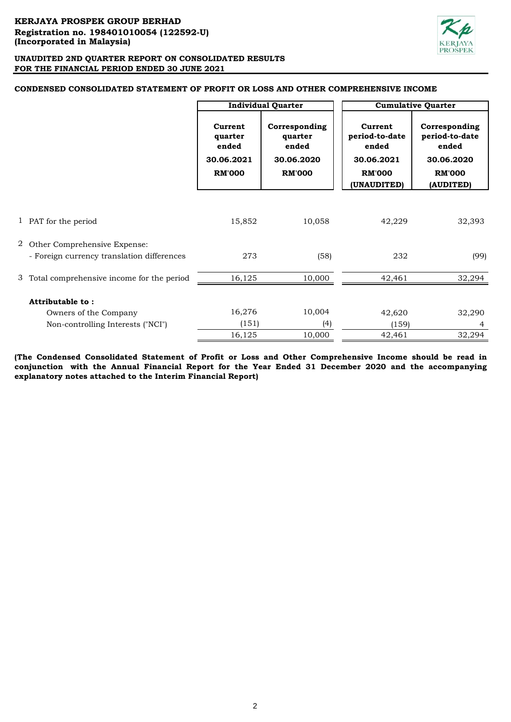

# **CONDENSED CONSOLIDATED STATEMENT OF PROFIT OR LOSS AND OTHER COMPREHENSIVE INCOME**

|                                             |                                                            | <b>Individual Quarter</b>                                        |                                                                                  | <b>Cumulative Quarter</b>                                                            |
|---------------------------------------------|------------------------------------------------------------|------------------------------------------------------------------|----------------------------------------------------------------------------------|--------------------------------------------------------------------------------------|
|                                             | Current<br>quarter<br>ended<br>30.06.2021<br><b>RM'000</b> | Corresponding<br>quarter<br>ended<br>30.06.2020<br><b>RM'000</b> | Current<br>period-to-date<br>ended<br>30.06.2021<br><b>RM'000</b><br>(UNAUDITED) | Corresponding<br>period-to-date<br>ended<br>30.06.2020<br><b>RM'000</b><br>(AUDITED) |
|                                             |                                                            |                                                                  |                                                                                  |                                                                                      |
|                                             |                                                            |                                                                  |                                                                                  |                                                                                      |
| 1 PAT for the period                        | 15,852                                                     | 10,058                                                           | 42,229                                                                           | 32,393                                                                               |
|                                             |                                                            |                                                                  |                                                                                  |                                                                                      |
| 2 Other Comprehensive Expense:              |                                                            |                                                                  |                                                                                  |                                                                                      |
| - Foreign currency translation differences  | 273                                                        | (58)                                                             | 232                                                                              | (99)                                                                                 |
| 3 Total comprehensive income for the period | 16,125                                                     | 10,000                                                           | 42,461                                                                           | 32,294                                                                               |
|                                             |                                                            |                                                                  |                                                                                  |                                                                                      |
| Attributable to:                            |                                                            |                                                                  |                                                                                  |                                                                                      |
| Owners of the Company                       | 16,276                                                     | 10,004                                                           | 42,620                                                                           | 32,290                                                                               |
| Non-controlling Interests ("NCI")           | (151)                                                      | (4)                                                              | (159)                                                                            | 4                                                                                    |
|                                             | 16,125                                                     | 10,000                                                           | 42,461                                                                           | 32,294                                                                               |

**(The Condensed Consolidated Statement of Profit or Loss and Other Comprehensive Income should be read in conjunction with the Annual Financial Report for the Year Ended 31 December 2020 and the accompanying explanatory notes attached to the Interim Financial Report)**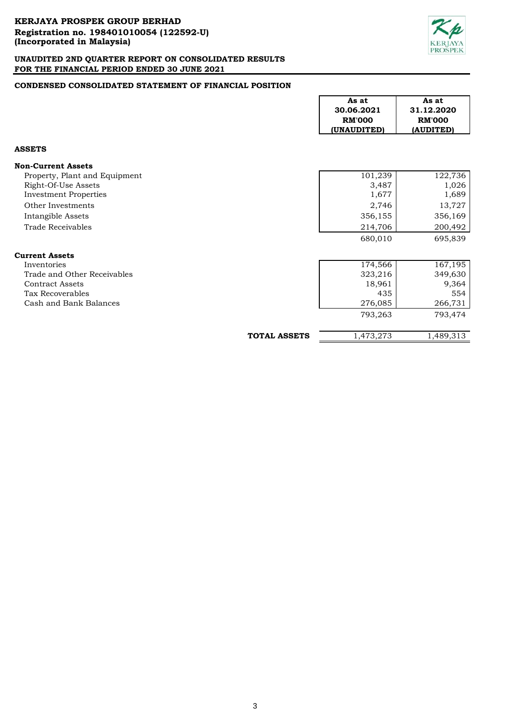

# **CONDENSED CONSOLIDATED STATEMENT OF FINANCIAL POSITION**

|                               |                     | As at<br>30.06.2021<br><b>RM'000</b><br>(UNAUDITED) | As at<br>31.12.2020<br><b>RM'000</b><br>(AUDITED) |
|-------------------------------|---------------------|-----------------------------------------------------|---------------------------------------------------|
| <b>ASSETS</b>                 |                     |                                                     |                                                   |
| <b>Non-Current Assets</b>     |                     |                                                     |                                                   |
| Property, Plant and Equipment |                     | 101,239                                             | 122,736                                           |
| Right-Of-Use Assets           |                     | 3,487                                               | 1,026                                             |
| <b>Investment Properties</b>  |                     | 1,677                                               | 1,689                                             |
| Other Investments             |                     | 2,746                                               | 13,727                                            |
| Intangible Assets             |                     | 356,155                                             | 356,169                                           |
| <b>Trade Receivables</b>      |                     | 214,706                                             | 200,492                                           |
|                               |                     | 680,010                                             | 695,839                                           |
| <b>Current Assets</b>         |                     |                                                     |                                                   |
| Inventories                   |                     | 174,566                                             | 167,195                                           |
| Trade and Other Receivables   |                     | 323,216                                             | 349,630                                           |
| <b>Contract Assets</b>        |                     | 18,961                                              | 9,364                                             |
| Tax Recoverables              |                     | 435                                                 | 554                                               |
| Cash and Bank Balances        |                     | 276,085                                             | 266,731                                           |
|                               |                     | 793,263                                             | 793,474                                           |
|                               | <b>TOTAL ASSETS</b> | 1,473,273                                           | 1,489,313                                         |

 $\Gamma$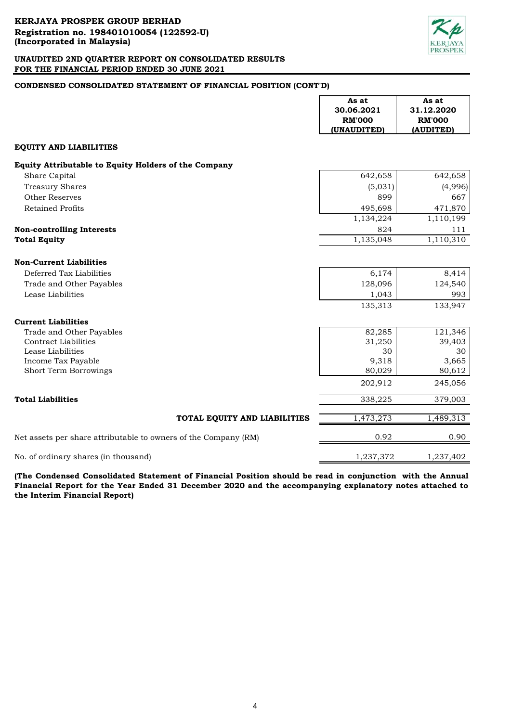

# **CONDENSED CONSOLIDATED STATEMENT OF FINANCIAL POSITION (CONT'D)**

|                                                                 | As at<br>30.06.2021<br><b>RM'000</b> | As at<br>31.12.2020<br><b>RM'000</b> |
|-----------------------------------------------------------------|--------------------------------------|--------------------------------------|
|                                                                 | (UNAUDITED)                          | (AUDITED)                            |
| <b>EQUITY AND LIABILITIES</b>                                   |                                      |                                      |
| Equity Attributable to Equity Holders of the Company            |                                      |                                      |
| Share Capital                                                   | 642,658                              | 642,658                              |
| <b>Treasury Shares</b>                                          | (5,031)                              | (4,996)                              |
| Other Reserves                                                  | 899                                  | 667                                  |
| <b>Retained Profits</b>                                         | 495,698                              | 471,870                              |
|                                                                 | 1,134,224                            | 1,110,199                            |
| <b>Non-controlling Interests</b>                                | 824                                  | 111                                  |
| <b>Total Equity</b>                                             | 1,135,048                            | 1,110,310                            |
|                                                                 |                                      |                                      |
| <b>Non-Current Liabilities</b>                                  |                                      |                                      |
| Deferred Tax Liabilities                                        | 6,174                                | 8,414                                |
| Trade and Other Payables                                        | 128,096                              | 124,540                              |
| Lease Liabilities                                               | 1,043                                | 993                                  |
|                                                                 | 135,313                              | 133,947                              |
| <b>Current Liabilities</b>                                      |                                      |                                      |
| Trade and Other Payables                                        | 82,285                               | 121,346                              |
| <b>Contract Liabilities</b>                                     | 31,250                               | 39,403                               |
| Lease Liabilities                                               | 30                                   | 30                                   |
| Income Tax Payable                                              | 9,318                                | 3,665                                |
| <b>Short Term Borrowings</b>                                    | 80,029                               | 80,612                               |
|                                                                 | 202,912                              | 245,056                              |
| <b>Total Liabilities</b>                                        | 338,225                              | 379,003                              |
| TOTAL EQUITY AND LIABILITIES                                    | 1,473,273                            | 1,489,313                            |
| Net assets per share attributable to owners of the Company (RM) | 0.92                                 | 0.90                                 |
| No. of ordinary shares (in thousand)                            | 1,237,372                            | 1,237,402                            |

**(The Condensed Consolidated Statement of Financial Position should be read in conjunction with the Annual Financial Report for the Year Ended 31 December 2020 and the accompanying explanatory notes attached to the Interim Financial Report)**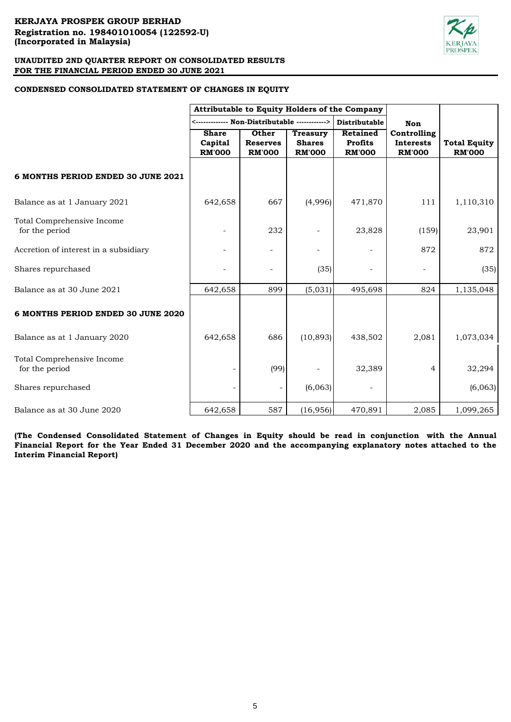# **CONDENSED CONSOLIDATED STATEMENT OF CHANGES IN EQUITY**

|                                              | Attributable to Equity Holders of the Company |                          |                                  |                            |                                 |                     |
|----------------------------------------------|-----------------------------------------------|--------------------------|----------------------------------|----------------------------|---------------------------------|---------------------|
|                                              |                                               |                          |                                  | <b>Distributable</b>       | Non                             |                     |
|                                              | <b>Share</b><br>Capital                       | Other<br><b>Reserves</b> | <b>Treasury</b><br><b>Shares</b> | Retained<br><b>Profits</b> | Controlling<br><b>Interests</b> | <b>Total Equity</b> |
|                                              | <b>RM'000</b>                                 | <b>RM'000</b>            | <b>RM'000</b>                    | <b>RM'000</b>              | <b>RM'000</b>                   | <b>RM'000</b>       |
| 6 MONTHS PERIOD ENDED 30 JUNE 2021           |                                               |                          |                                  |                            |                                 |                     |
| Balance as at 1 January 2021                 | 642,658                                       | 667                      | (4,996)                          | 471,870                    | 111                             | 1,110,310           |
| Total Comprehensive Income<br>for the period |                                               | 232                      |                                  | 23,828                     | (159)                           | 23,901              |
| Accretion of interest in a subsidiary        |                                               |                          |                                  |                            | 872                             | 872                 |
| Shares repurchased                           |                                               |                          | (35)                             |                            |                                 | (35)                |
| Balance as at 30 June 2021                   | 642,658                                       | 899                      | (5,031)                          | 495,698                    | 824                             | 1,135,048           |
| 6 MONTHS PERIOD ENDED 30 JUNE 2020           |                                               |                          |                                  |                            |                                 |                     |
| Balance as at 1 January 2020                 | 642,658                                       | 686                      | (10, 893)                        | 438,502                    | 2,081                           | 1,073,034           |
| Total Comprehensive Income<br>for the period |                                               | (99)                     |                                  | 32,389                     | 4                               | 32,294              |
| Shares repurchased                           |                                               |                          | (6,063)                          |                            |                                 | (6,063)             |
| Balance as at 30 June 2020                   | 642,658                                       | 587                      | (16, 956)                        | 470,891                    | 2,085                           | 1,099,265           |

**(The Condensed Consolidated Statement of Changes in Equity should be read in conjunction with the Annual** Financial Report for the Year Ended 31 December 2020 and the accompanying explanatory notes attached to the **Interim Financial Report)**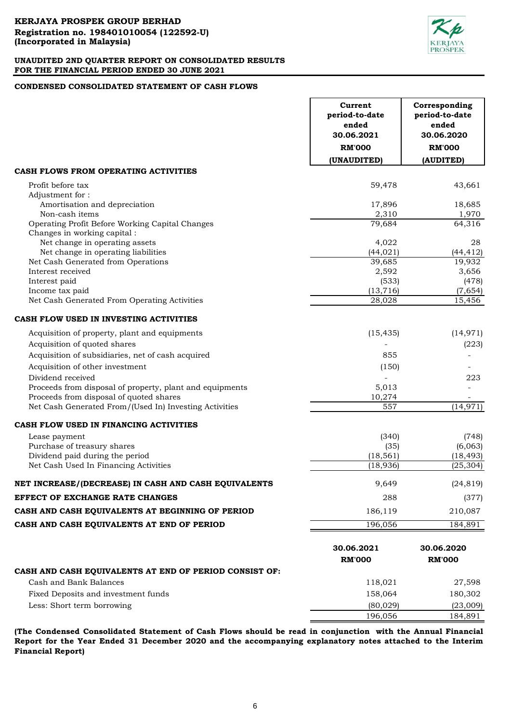

# **CONDENSED CONSOLIDATED STATEMENT OF CASH FLOWS**

|                                                          | Current<br>period-to-date<br>ended<br>30.06.2021 | Corresponding<br>period-to-date<br>ended<br>30.06.2020 |
|----------------------------------------------------------|--------------------------------------------------|--------------------------------------------------------|
|                                                          | <b>RM'000</b>                                    | <b>RM'000</b>                                          |
|                                                          | (UNAUDITED)                                      | (AUDITED)                                              |
| CASH FLOWS FROM OPERATING ACTIVITIES                     |                                                  |                                                        |
| Profit before tax                                        | 59,478                                           | 43,661                                                 |
| Adjustment for:                                          |                                                  |                                                        |
| Amortisation and depreciation                            | 17,896                                           | 18,685                                                 |
| Non-cash items                                           | 2,310                                            | 1,970                                                  |
| Operating Profit Before Working Capital Changes          | 79,684                                           | $\overline{6}$ 4,316                                   |
| Changes in working capital :                             |                                                  |                                                        |
| Net change in operating assets                           | 4,022                                            | 28                                                     |
| Net change in operating liabilities                      | (44, 021)                                        | (44, 412)                                              |
| Net Cash Generated from Operations<br>Interest received  | 39,685<br>2,592                                  | 19,932<br>3,656                                        |
| Interest paid                                            | (533)                                            | (478)                                                  |
| Income tax paid                                          | (13, 716)                                        | (7,654)                                                |
| Net Cash Generated From Operating Activities             | 28,028                                           | 15,456                                                 |
|                                                          |                                                  |                                                        |
| CASH FLOW USED IN INVESTING ACTIVITIES                   |                                                  |                                                        |
| Acquisition of property, plant and equipments            | (15, 435)                                        | (14, 971)                                              |
| Acquisition of quoted shares                             |                                                  | (223)                                                  |
| Acquisition of subsidiaries, net of cash acquired        | 855                                              |                                                        |
| Acquisition of other investment                          | (150)                                            |                                                        |
| Dividend received                                        |                                                  | 223                                                    |
| Proceeds from disposal of property, plant and equipments | 5,013                                            |                                                        |
| Proceeds from disposal of quoted shares                  | 10,274                                           |                                                        |
| Net Cash Generated From/(Used In) Investing Activities   | 557                                              | (14, 971)                                              |
| CASH FLOW USED IN FINANCING ACTIVITIES                   |                                                  |                                                        |
| Lease payment                                            | (340)                                            | (748)                                                  |
| Purchase of treasury shares                              | (35)                                             | (6,063)                                                |
| Dividend paid during the period                          | (18, 561)                                        | (18, 493)                                              |
| Net Cash Used In Financing Activities                    | (18, 936)                                        | (25, 304)                                              |
| NET INCREASE/(DECREASE) IN CASH AND CASH EQUIVALENTS     | 9,649                                            | (24, 819)                                              |
| <b>EFFECT OF EXCHANGE RATE CHANGES</b>                   | 288                                              | (377)                                                  |
| CASH AND CASH EQUIVALENTS AT BEGINNING OF PERIOD         | 186,119                                          | 210,087                                                |
| CASH AND CASH EQUIVALENTS AT END OF PERIOD               | 196,056                                          | 184,891                                                |
|                                                          |                                                  |                                                        |
|                                                          | 30.06.2021                                       | 30.06.2020                                             |
|                                                          | <b>RM'000</b>                                    | <b>RM'000</b>                                          |
| CASH AND CASH EQUIVALENTS AT END OF PERIOD CONSIST OF:   |                                                  |                                                        |
| Cash and Bank Balances                                   | 118,021                                          | 27,598                                                 |
| Fixed Deposits and investment funds                      | 158,064                                          | 180,302                                                |
| Less: Short term borrowing                               | (80, 029)                                        | (23,009)                                               |
|                                                          | 196,056                                          | 184,891                                                |

**(The Condensed Consolidated Statement of Cash Flows should be read in conjunction with the Annual Financial Report for the Year Ended 31 December 2020 and the accompanying explanatory notes attached to the Interim Financial Report)**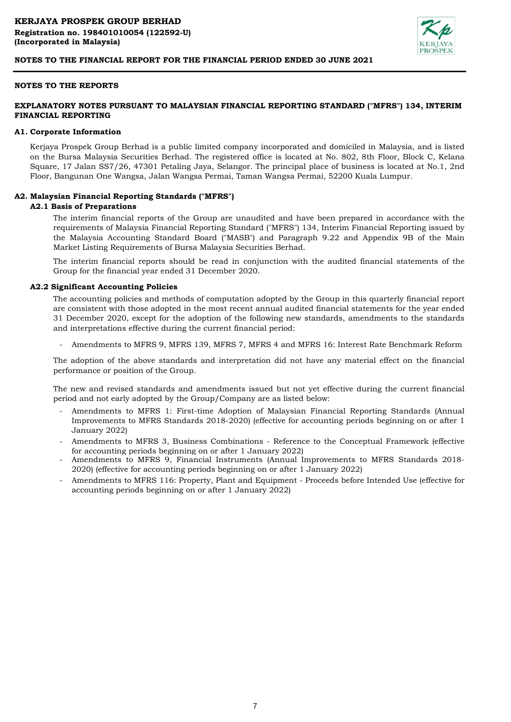

#### **NOTES TO THE REPORTS**

### **EXPLANATORY NOTES PURSUANT TO MALAYSIAN FINANCIAL REPORTING STANDARD ("MFRS") 134, INTERIM FINANCIAL REPORTING**

#### **A1. Corporate Information**

Kerjaya Prospek Group Berhad is a public limited company incorporated and domiciled in Malaysia, and is listed on the Bursa Malaysia Securities Berhad. The registered office is located at No. 802, 8th Floor, Block C, Kelana Square, 17 Jalan SS7/26, 47301 Petaling Jaya, Selangor. The principal place of business is located at No.1, 2nd Floor, Bangunan One Wangsa, Jalan Wangsa Permai, Taman Wangsa Permai, 52200 Kuala Lumpur.

#### **A2. Malaysian Financial Reporting Standards ("MFRS")**

#### **A2.1 Basis of Preparations**

The interim financial reports of the Group are unaudited and have been prepared in accordance with the requirements of Malaysia Financial Reporting Standard ("MFRS") 134, Interim Financial Reporting issued by the Malaysia Accounting Standard Board ("MASB") and Paragraph 9.22 and Appendix 9B of the Main Market Listing Requirements of Bursa Malaysia Securities Berhad.

The interim financial reports should be read in conjunction with the audited financial statements of the Group for the financial year ended 31 December 2020.

#### **A2.2 Significant Accounting Policies**

The accounting policies and methods of computation adopted by the Group in this quarterly financial report are consistent with those adopted in the most recent annual audited financial statements for the year ended 31 December 2020, except for the adoption of the following new standards, amendments to the standards and interpretations effective during the current financial period:

- Amendments to MFRS 9, MFRS 139, MFRS 7, MFRS 4 and MFRS 16: Interest Rate Benchmark Reform

The adoption of the above standards and interpretation did not have any material effect on the financial performance or position of the Group.

The new and revised standards and amendments issued but not yet effective during the current financial period and not early adopted by the Group/Company are as listed below:

- Amendments to MFRS 1: First-time Adoption of Malaysian Financial Reporting Standards (Annual Improvements to MFRS Standards 2018-2020) (effective for accounting periods beginning on or after 1 January 2022)
- Amendments to MFRS 3, Business Combinations Reference to the Conceptual Framework (effective for accounting periods beginning on or after 1 January 2022)
- Amendments to MFRS 9, Financial Instruments (Annual Improvements to MFRS Standards 2018- 2020) (effective for accounting periods beginning on or after 1 January 2022)
- Amendments to MFRS 116: Property, Plant and Equipment - Proceeds before Intended Use (effective for accounting periods beginning on or after 1 January 2022)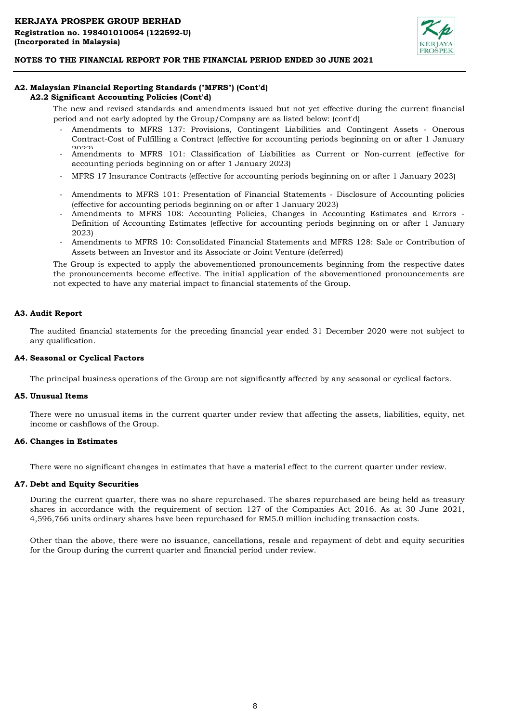

### **A2. Malaysian Financial Reporting Standards ("MFRS") (Cont'd) A2.2 Significant Accounting Policies (Cont'd)**

The new and revised standards and amendments issued but not yet effective during the current financial period and not early adopted by the Group/Company are as listed below: (cont'd)

- Amendments to MFRS 137: Provisions, Contingent Liabilities and Contingent Assets - Onerous Contract-Cost of Fulfilling a Contract (effective for accounting periods beginning on or after 1 January  $2022$
- Amendments to MFRS 101: Classification of Liabilities as Current or Non-current (effective for accounting periods beginning on or after 1 January 2023)
- MFRS 17 Insurance Contracts (effective for accounting periods beginning on or after 1 January 2023)
- Amendments to MFRS 101: Presentation of Financial Statements Disclosure of Accounting policies (effective for accounting periods beginning on or after 1 January 2023)
- Amendments to MFRS 108: Accounting Policies, Changes in Accounting Estimates and Errors Definition of Accounting Estimates (effective for accounting periods beginning on or after 1 January 2023)
- Amendments to MFRS 10: Consolidated Financial Statements and MFRS 128: Sale or Contribution of Assets between an Investor and its Associate or Joint Venture (deferred)

The Group is expected to apply the abovementioned pronouncements beginning from the respective dates the pronouncements become effective. The initial application of the abovementioned pronouncements are not expected to have any material impact to financial statements of the Group.

### **A3. Audit Report**

The audited financial statements for the preceding financial year ended 31 December 2020 were not subject to any qualification.

#### **A4. Seasonal or Cyclical Factors**

The principal business operations of the Group are not significantly affected by any seasonal or cyclical factors.

#### **A5. Unusual Items**

There were no unusual items in the current quarter under review that affecting the assets, liabilities, equity, net income or cashflows of the Group.

# **A6. Changes in Estimates**

There were no significant changes in estimates that have a material effect to the current quarter under review.

#### **A7. Debt and Equity Securities**

During the current quarter, there was no share repurchased. The shares repurchased are being held as treasury shares in accordance with the requirement of section 127 of the Companies Act 2016. As at 30 June 2021, 4,596,766 units ordinary shares have been repurchased for RM5.0 million including transaction costs.

Other than the above, there were no issuance, cancellations, resale and repayment of debt and equity securities for the Group during the current quarter and financial period under review.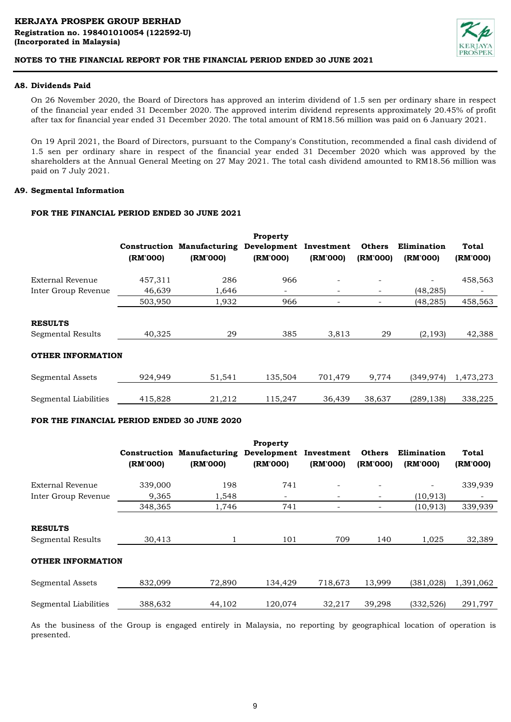

# **A8. Dividends Paid**

On 26 November 2020, the Board of Directors has approved an interim dividend of 1.5 sen per ordinary share in respect of the financial year ended 31 December 2020. The approved interim dividend represents approximately 20.45% of profit after tax for financial year ended 31 December 2020. The total amount of RM18.56 million was paid on 6 January 2021.

On 19 April 2021, the Board of Directors, pursuant to the Company's Constitution, recommended a final cash dividend of 1.5 sen per ordinary share in respect of the financial year ended 31 December 2020 which was approved by the shareholders at the Annual General Meeting on 27 May 2021. The total cash dividend amounted to RM18.56 million was paid on 7 July 2021.

### **A9. Segmental Information**

# **FOR THE FINANCIAL PERIOD ENDED 30 JUNE 2021**

|                                     | (RM'000) | <b>Construction Manufacturing</b><br>(RM'000) | Property<br>Development<br>(RM'000) | Investment<br>(RM'000) | <b>Others</b><br>(RM'000) | Elimination<br>(RM'000) | Total<br>(RM'000) |
|-------------------------------------|----------|-----------------------------------------------|-------------------------------------|------------------------|---------------------------|-------------------------|-------------------|
| External Revenue                    | 457,311  | 286                                           | 966                                 |                        |                           |                         | 458,563           |
| Inter Group Revenue                 | 46,639   | 1,646                                         | -                                   | ۰.                     | -                         | (48, 285)               |                   |
|                                     | 503,950  | 1,932                                         | 966                                 |                        | $\qquad \qquad$           | (48, 285)               | 458,563           |
| <b>RESULTS</b><br>Segmental Results | 40,325   | 29                                            | 385                                 | 3,813                  | 29                        | (2, 193)                | 42,388            |
| <b>OTHER INFORMATION</b>            |          |                                               |                                     |                        |                           |                         |                   |
| Segmental Assets                    | 924,949  | 51,541                                        | 135,504                             | 701,479                | 9,774                     | (349, 974)              | 1,473,273         |
| Segmental Liabilities               | 415,828  | 21.212                                        | 115.247                             | 36,439                 | 38,637                    | (289, 138)              | 338,225           |

# **FOR THE FINANCIAL PERIOD ENDED 30 JUNE 2020**

|                                     | (RM'000) | <b>Construction Manufacturing</b><br>(RM'000) | Property<br>Development<br>(RM'000) | Investment<br>(RM'000) | <b>Others</b><br>(RM'000) | Elimination<br>(RM'000)  | Total<br>(RM'000) |
|-------------------------------------|----------|-----------------------------------------------|-------------------------------------|------------------------|---------------------------|--------------------------|-------------------|
| External Revenue                    | 339,000  | 198                                           | 741                                 |                        |                           | $\overline{\phantom{a}}$ | 339,939           |
| Inter Group Revenue                 | 9,365    | 1,548                                         |                                     | -                      | -                         | (10, 913)                |                   |
|                                     | 348,365  | 1,746                                         | 741                                 |                        |                           | (10, 913)                | 339,939           |
| <b>RESULTS</b><br>Segmental Results | 30,413   |                                               | 101                                 | 709                    | 140                       | 1,025                    | 32,389            |
| <b>OTHER INFORMATION</b>            |          |                                               |                                     |                        |                           |                          |                   |
| <b>Segmental Assets</b>             | 832,099  | 72,890                                        | 134,429                             | 718,673                | 13,999                    | (381, 028)               | 1,391,062         |
| Segmental Liabilities               | 388,632  | 44,102                                        | 120,074                             | 32,217                 | 39.298                    | (332, 526)               | 291,797           |

As the business of the Group is engaged entirely in Malaysia, no reporting by geographical location of operation is presented.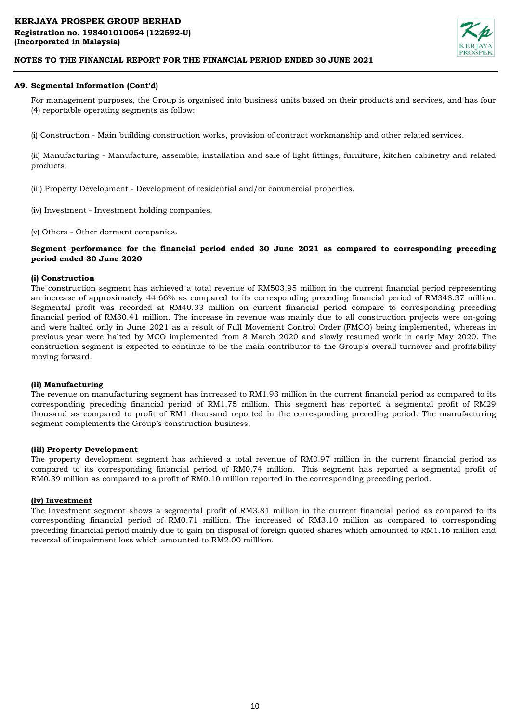

# **A9. Segmental Information (Cont'd)**

For management purposes, the Group is organised into business units based on their products and services, and has four (4) reportable operating segments as follow:

(i) Construction - Main building construction works, provision of contract workmanship and other related services.

(ii) Manufacturing - Manufacture, assemble, installation and sale of light fittings, furniture, kitchen cabinetry and related products.

(iii) Property Development - Development of residential and/or commercial properties.

- (iv) Investment Investment holding companies.
- (v) Others Other dormant companies.

# **Segment performance for the financial period ended 30 June 2021 as compared to corresponding preceding period ended 30 June 2020**

### **(i) Construction**

The construction segment has achieved a total revenue of RM503.95 million in the current financial period representing an increase of approximately 44.66% as compared to its corresponding preceding financial period of RM348.37 million. Segmental profit was recorded at RM40.33 million on current financial period compare to corresponding preceding financial period of RM30.41 million. The increase in revenue was mainly due to all construction projects were on-going and were halted only in June 2021 as a result of Full Movement Control Order (FMCO) being implemented, whereas in previous year were halted by MCO implemented from 8 March 2020 and slowly resumed work in early May 2020. The construction segment is expected to continue to be the main contributor to the Group's overall turnover and profitability moving forward.

#### **(ii) Manufacturing**

The revenue on manufacturing segment has increased to RM1.93 million in the current financial period as compared to its corresponding preceding financial period of RM1.75 million. This segment has reported a segmental profit of RM29 thousand as compared to profit of RM1 thousand reported in the corresponding preceding period. The manufacturing segment complements the Group's construction business.

#### **(iii) Property Development**

The property development segment has achieved a total revenue of RM0.97 million in the current financial period as compared to its corresponding financial period of RM0.74 million. This segment has reported a segmental profit of RM0.39 million as compared to a profit of RM0.10 million reported in the corresponding preceding period.

#### **(iv) Investment**

The Investment segment shows a segmental profit of RM3.81 million in the current financial period as compared to its corresponding financial period of RM0.71 million. The increased of RM3.10 million as compared to corresponding preceding financial period mainly due to gain on disposal of foreign quoted shares which amounted to RM1.16 million and reversal of impairment loss which amounted to RM2.00 milllion.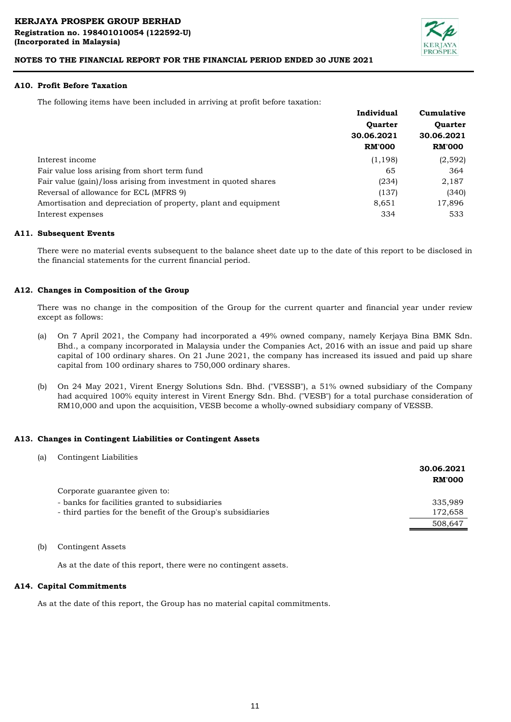

#### **A10. Profit Before Taxation**

The following items have been included in arriving at profit before taxation:

|                                                                 | Individual     | Cumulative     |
|-----------------------------------------------------------------|----------------|----------------|
|                                                                 | <b>Ouarter</b> | <b>Ouarter</b> |
|                                                                 | 30.06.2021     | 30.06.2021     |
|                                                                 | <b>RM'000</b>  | <b>RM'000</b>  |
| Interest income                                                 | (1, 198)       | (2,592)        |
| Fair value loss arising from short term fund                    | 65             | 364            |
| Fair value (gain)/loss arising from investment in quoted shares | (234)          | 2,187          |
| Reversal of allowance for ECL (MFRS 9)                          | (137)          | (340)          |
| Amortisation and depreciation of property, plant and equipment  | 8,651          | 17,896         |
| Interest expenses                                               | 334            | 533            |

#### **A11. Subsequent Events**

There were no material events subsequent to the balance sheet date up to the date of this report to be disclosed in the financial statements for the current financial period.

#### **A12. Changes in Composition of the Group**

There was no change in the composition of the Group for the current quarter and financial year under review except as follows:

- (a) On 7 April 2021, the Company had incorporated a 49% owned company, namely Kerjaya Bina BMK Sdn. Bhd., a company incorporated in Malaysia under the Companies Act, 2016 with an issue and paid up share capital of 100 ordinary shares. On 21 June 2021, the company has increased its issued and paid up share capital from 100 ordinary shares to 750,000 ordinary shares.
- (b) On 24 May 2021, Virent Energy Solutions Sdn. Bhd. ("VESSB"), a 51% owned subsidiary of the Company had acquired 100% equity interest in Virent Energy Sdn. Bhd. ("VESB") for a total purchase consideration of RM10,000 and upon the acquisition, VESB become a wholly-owned subsidiary company of VESSB.

#### **A13. Changes in Contingent Liabilities or Contingent Assets**

(a) Contingent Liabilities

|                                                             | 30.06.2021<br><b>RM'000</b> |
|-------------------------------------------------------------|-----------------------------|
| Corporate guarantee given to:                               |                             |
| - banks for facilities granted to subsidiaries              | 335,989                     |
| - third parties for the benefit of the Group's subsidiaries | 172,658                     |
|                                                             | 508,647                     |

(b) Contingent Assets

As at the date of this report, there were no contingent assets.

#### **A14. Capital Commitments**

As at the date of this report, the Group has no material capital commitments.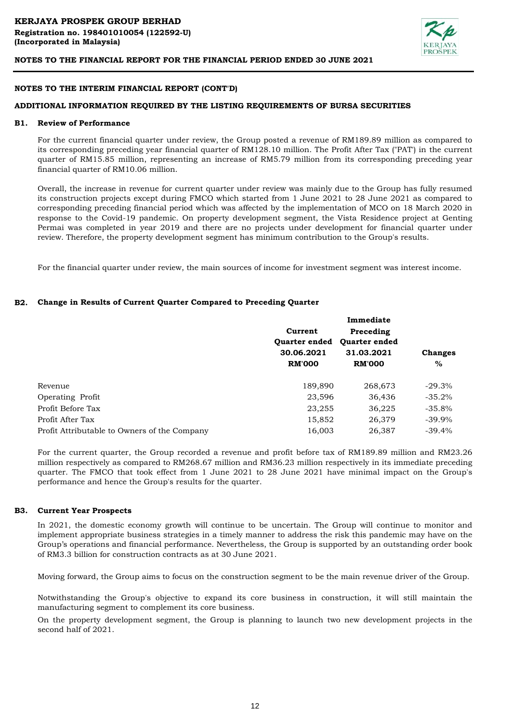

#### **NOTES TO THE INTERIM FINANCIAL REPORT (CONT'D)**

#### **ADDITIONAL INFORMATION REQUIRED BY THE LISTING REQUIREMENTS OF BURSA SECURITIES**

#### **B1. Review of Performance**

For the current financial quarter under review, the Group posted a revenue of RM189.89 million as compared to its corresponding preceding year financial quarter of RM128.10 million. The Profit After Tax ("PAT') in the current quarter of RM15.85 million, representing an increase of RM5.79 million from its corresponding preceding year financial quarter of RM10.06 million.

Overall, the increase in revenue for current quarter under review was mainly due to the Group has fully resumed its construction projects except during FMCO which started from 1 June 2021 to 28 June 2021 as compared to corresponding preceding financial period which was affected by the implementation of MCO on 18 March 2020 in response to the Covid-19 pandemic. On property development segment, the Vista Residence project at Genting Permai was completed in year 2019 and there are no projects under development for financial quarter under review. Therefore, the property development segment has minimum contribution to the Group's results.

For the financial quarter under review, the main sources of income for investment segment was interest income.

### **B2. Change in Results of Current Quarter Compared to Preceding Quarter**

|                                              | Immediate            |                      |                |  |  |
|----------------------------------------------|----------------------|----------------------|----------------|--|--|
|                                              | Current              | Preceding            |                |  |  |
|                                              | <b>Ouarter ended</b> | <b>Ouarter ended</b> |                |  |  |
|                                              | 30.06.2021           | 31.03.2021           | <b>Changes</b> |  |  |
|                                              | <b>RM'000</b>        | <b>RM'000</b>        | $\%$           |  |  |
| Revenue                                      | 189,890              | 268,673              | $-29.3%$       |  |  |
| <b>Operating Profit</b>                      | 23,596               | 36,436               | $-35.2\%$      |  |  |
| Profit Before Tax                            | 23,255               | 36,225               | $-35.8\%$      |  |  |
| Profit After Tax                             | 15,852               | 26,379               | $-39.9\%$      |  |  |
| Profit Attributable to Owners of the Company | 16,003               | 26,387               | $-39.4%$       |  |  |

For the current quarter, the Group recorded a revenue and profit before tax of RM189.89 million and RM23.26 million respectively as compared to RM268.67 million and RM36.23 million respectively in its immediate preceding quarter. The FMCO that took effect from 1 June 2021 to 28 June 2021 have minimal impact on the Group's performance and hence the Group's results for the quarter.

#### **B3. Current Year Prospects**

In 2021, the domestic economy growth will continue to be uncertain. The Group will continue to monitor and implement appropriate business strategies in a timely manner to address the risk this pandemic may have on the Group's operations and financial performance. Nevertheless, the Group is supported by an outstanding order book of RM3.3 billion for construction contracts as at 30 June 2021.

Moving forward, the Group aims to focus on the construction segment to be the main revenue driver of the Group.

Notwithstanding the Group's objective to expand its core business in construction, it will still maintain the manufacturing segment to complement its core business.

On the property development segment, the Group is planning to launch two new development projects in the second half of 2021.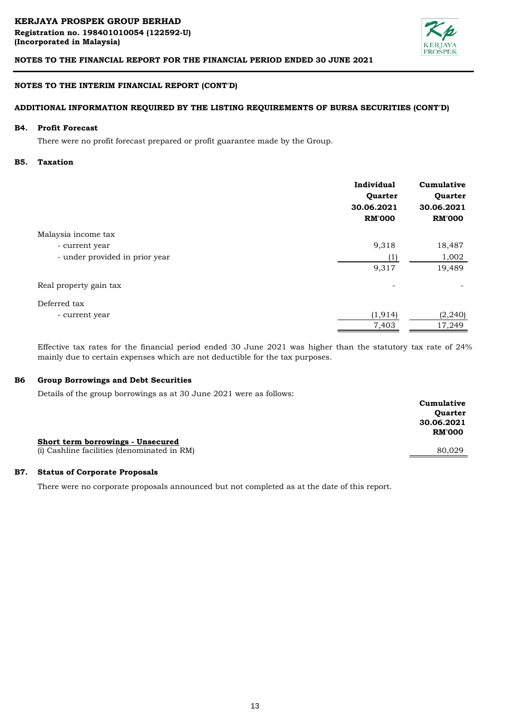

# **NOTES TO THE INTERIM FINANCIAL REPORT (CONT'D)**

# **ADDITIONAL INFORMATION REQUIRED BY THE LISTING REQUIREMENTS OF BURSA SECURITIES (CONT'D)**

#### **B4. Profit Forecast**

There were no profit forecast prepared or profit guarantee made by the Group.

#### **B5. Taxation**

|                                | Individual<br>Quarter<br>30.06.2021<br><b>RM'000</b> | Cumulative<br>Quarter<br>30.06.2021<br><b>RM'000</b> |
|--------------------------------|------------------------------------------------------|------------------------------------------------------|
| Malaysia income tax            |                                                      |                                                      |
| - current year                 | 9,318                                                | 18,487                                               |
| - under provided in prior year | $\left(1\right)$                                     | 1,002                                                |
|                                | 9,317                                                | 19,489                                               |
| Real property gain tax         |                                                      |                                                      |
| Deferred tax                   |                                                      |                                                      |
| - current year                 | (1, 914)                                             | (2, 240)                                             |
|                                | 7,403                                                | 17,249                                               |

Effective tax rates for the financial period ended 30 June 2021 was higher than the statutory tax rate of 24% mainly due to certain expenses which are not deductible for the tax purposes.

#### **B6 Group Borrowings and Debt Securities**

Details of the group borrowings as at 30 June 2021 were as follows:

| Short term borrowings - Unsecured           | Cumulative<br><b>Ouarter</b><br>30.06.2021<br><b>RM'000</b> |
|---------------------------------------------|-------------------------------------------------------------|
| (i) Cashline facilities (denominated in RM) | 80.029                                                      |

#### **B7. Status of Corporate Proposals**

There were no corporate proposals announced but not completed as at the date of this report.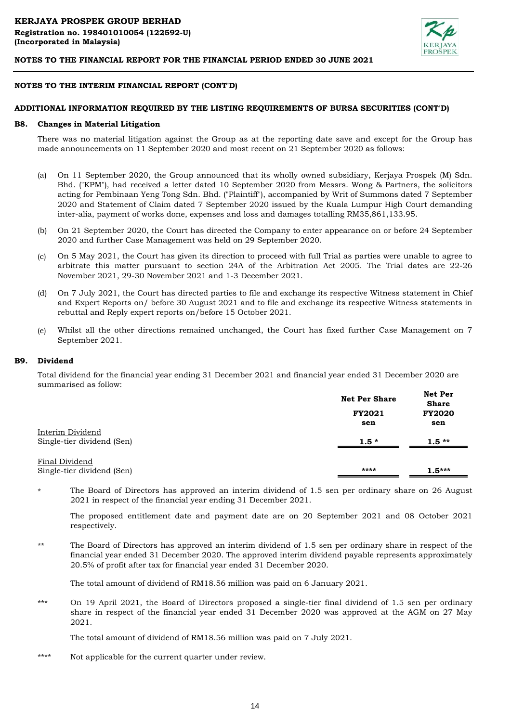

### **NOTES TO THE INTERIM FINANCIAL REPORT (CONT'D)**

#### **ADDITIONAL INFORMATION REQUIRED BY THE LISTING REQUIREMENTS OF BURSA SECURITIES (CONT'D)**

#### **B8. Changes in Material Litigation**

There was no material litigation against the Group as at the reporting date save and except for the Group has made announcements on 11 September 2020 and most recent on 21 September 2020 as follows:

- (a) On 11 September 2020, the Group announced that its wholly owned subsidiary, Kerjaya Prospek (M) Sdn. Bhd. ("KPM"), had received a letter dated 10 September 2020 from Messrs. Wong & Partners, the solicitors acting for Pembinaan Yeng Tong Sdn. Bhd. ("Plaintiff"), accompanied by Writ of Summons dated 7 September 2020 and Statement of Claim dated 7 September 2020 issued by the Kuala Lumpur High Court demanding inter-alia, payment of works done, expenses and loss and damages totalling RM35,861,133.95.
- (b) On 21 September 2020, the Court has directed the Company to enter appearance on or before 24 September 2020 and further Case Management was held on 29 September 2020.
- (c) On 5 May 2021, the Court has given its direction to proceed with full Trial as parties were unable to agree to arbitrate this matter pursuant to section 24A of the Arbitration Act 2005. The Trial dates are 22-26 November 2021, 29-30 November 2021 and 1-3 December 2021.
- (d) On 7 July 2021, the Court has directed parties to file and exchange its respective Witness statement in Chief and Expert Reports on/ before 30 August 2021 and to file and exchange its respective Witness statements in rebuttal and Reply expert reports on/before 15 October 2021.
- (e) Whilst all the other directions remained unchanged, the Court has fixed further Case Management on 7 September 2021.

#### **B9. Dividend**

Total dividend for the financial year ending 31 December 2021 and financial year ended 31 December 2020 are summarised as follow:

|                                                | <b>Net Per Share</b> | Net Per<br><b>Share</b> |
|------------------------------------------------|----------------------|-------------------------|
|                                                | FY2021               | <b>FY2020</b>           |
|                                                | sen                  | sen                     |
| Interim Dividend<br>Single-tier dividend (Sen) | $1.5*$               | $1.5**$                 |
| Final Dividend                                 | ****                 |                         |
| Single-tier dividend (Sen)                     |                      | $1.5***$                |

\* The Board of Directors has approved an interim dividend of 1.5 sen per ordinary share on 26 August 2021 in respect of the financial year ending 31 December 2021.

The proposed entitlement date and payment date are on 20 September 2021 and 08 October 2021 respectively.

\*\* The Board of Directors has approved an interim dividend of 1.5 sen per ordinary share in respect of the financial year ended 31 December 2020. The approved interim dividend payable represents approximately 20.5% of profit after tax for financial year ended 31 December 2020.

The total amount of dividend of RM18.56 million was paid on 6 January 2021.

\*\*\* On 19 April 2021, the Board of Directors proposed a single-tier final dividend of 1.5 sen per ordinary share in respect of the financial year ended 31 December 2020 was approved at the AGM on 27 May 2021.

The total amount of dividend of RM18.56 million was paid on 7 July 2021.

\*\*\*\* Not applicable for the current quarter under review.